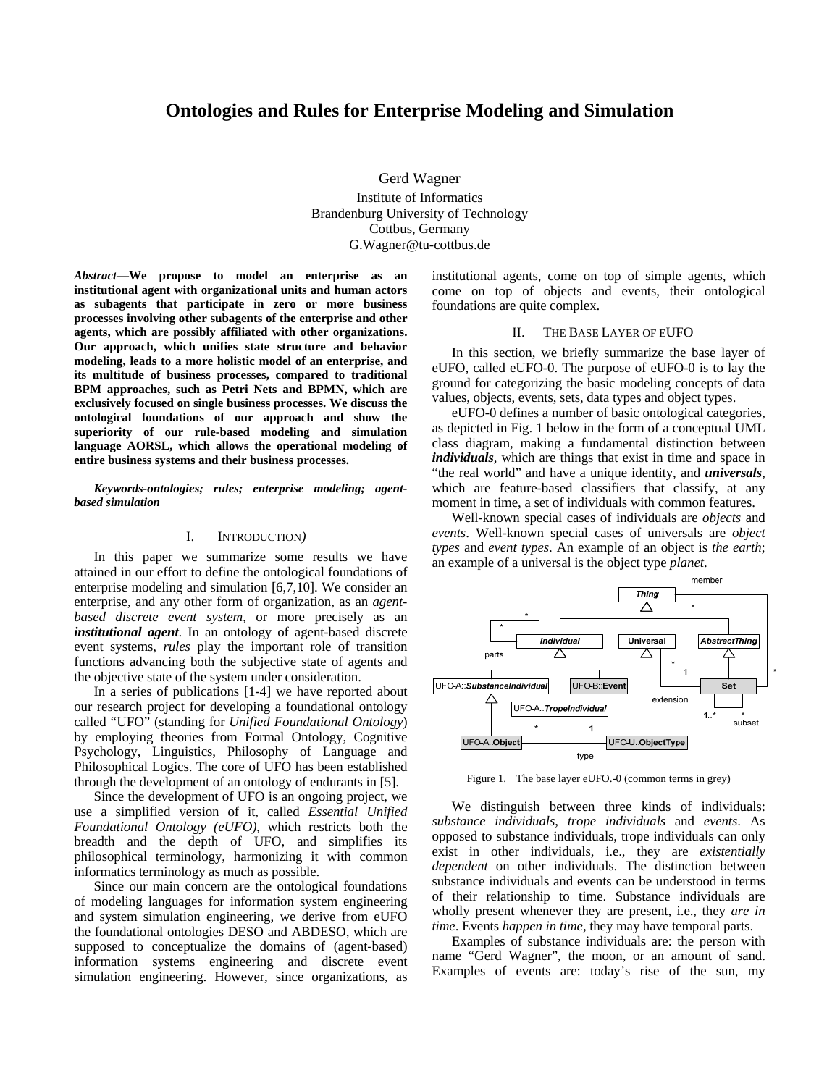# **Ontologies and Rules for Enterprise Modeling and Simulation**

Gerd Wagner

Institute of Informatics Brandenburg University of Technology Cottbus, Germany G.Wagner@tu-cottbus.de

*Abstract***—We propose to model an enterprise as an institutional agent with organizational units and human actors as subagents that participate in zero or more business processes involving other subagents of the enterprise and other agents, which are possibly affiliated with other organizations. Our approach, which unifies state structure and behavior modeling, leads to a more holistic model of an enterprise, and its multitude of business processes, compared to traditional BPM approaches, such as Petri Nets and BPMN, which are exclusively focused on single business processes. We discuss the ontological foundations of our approach and show the superiority of our rule-based modeling and simulation language AORSL, which allows the operational modeling of entire business systems and their business processes.** 

*Keywords-ontologies; rules; enterprise modeling; agentbased simulation* 

## I. INTRODUCTION*)*

In this paper we summarize some results we have attained in our effort to define the ontological foundations of enterprise modeling and simulation [6,7,10]. We consider an enterprise, and any other form of organization, as an *agentbased discrete event system*, or more precisely as an *institutional agent*. In an ontology of agent-based discrete event systems, *rules* play the important role of transition functions advancing both the subjective state of agents and the objective state of the system under consideration.

In a series of publications [1-4] we have reported about our research project for developing a foundational ontology called "UFO" (standing for *Unified Foundational Ontology*) by employing theories from Formal Ontology, Cognitive Psychology, Linguistics, Philosophy of Language and Philosophical Logics. The core of UFO has been established through the development of an ontology of endurants in [5].

Since the development of UFO is an ongoing project, we use a simplified version of it, called *Essential Unified Foundational Ontology (eUFO)*, which restricts both the breadth and the depth of UFO, and simplifies its philosophical terminology, harmonizing it with common informatics terminology as much as possible.

Since our main concern are the ontological foundations of modeling languages for information system engineering and system simulation engineering, we derive from eUFO the foundational ontologies DESO and ABDESO, which are supposed to conceptualize the domains of (agent-based) information systems engineering and discrete event simulation engineering. However, since organizations, as institutional agents, come on top of simple agents, which come on top of objects and events, their ontological foundations are quite complex.

#### II. THE BASE LAYER OF EUFO

In this section, we briefly summarize the base layer of eUFO, called eUFO-0. The purpose of eUFO-0 is to lay the ground for categorizing the basic modeling concepts of data values, objects, events, sets, data types and object types.

eUFO-0 defines a number of basic ontological categories, as depicted in Fig. 1 below in the form of a conceptual UML class diagram, making a fundamental distinction between *individuals*, which are things that exist in time and space in "the real world" and have a unique identity, and *universals*, which are feature-based classifiers that classify, at any moment in time, a set of individuals with common features.

Well-known special cases of individuals are *objects* and *events*. Well-known special cases of universals are *object types* and *event types*. An example of an object is *the earth*; an example of a universal is the object type *planet*.



Figure 1. The base layer eUFO.-0 (common terms in grey)

We distinguish between three kinds of individuals: *substance individuals*, *trope individuals* and *events*. As opposed to substance individuals, trope individuals can only exist in other individuals, i.e., they are *existentially dependent* on other individuals. The distinction between substance individuals and events can be understood in terms of their relationship to time. Substance individuals are wholly present whenever they are present, i.e., they *are in time*. Events *happen in time*, they may have temporal parts.

Examples of substance individuals are: the person with name "Gerd Wagner", the moon, or an amount of sand. Examples of events are: today's rise of the sun, my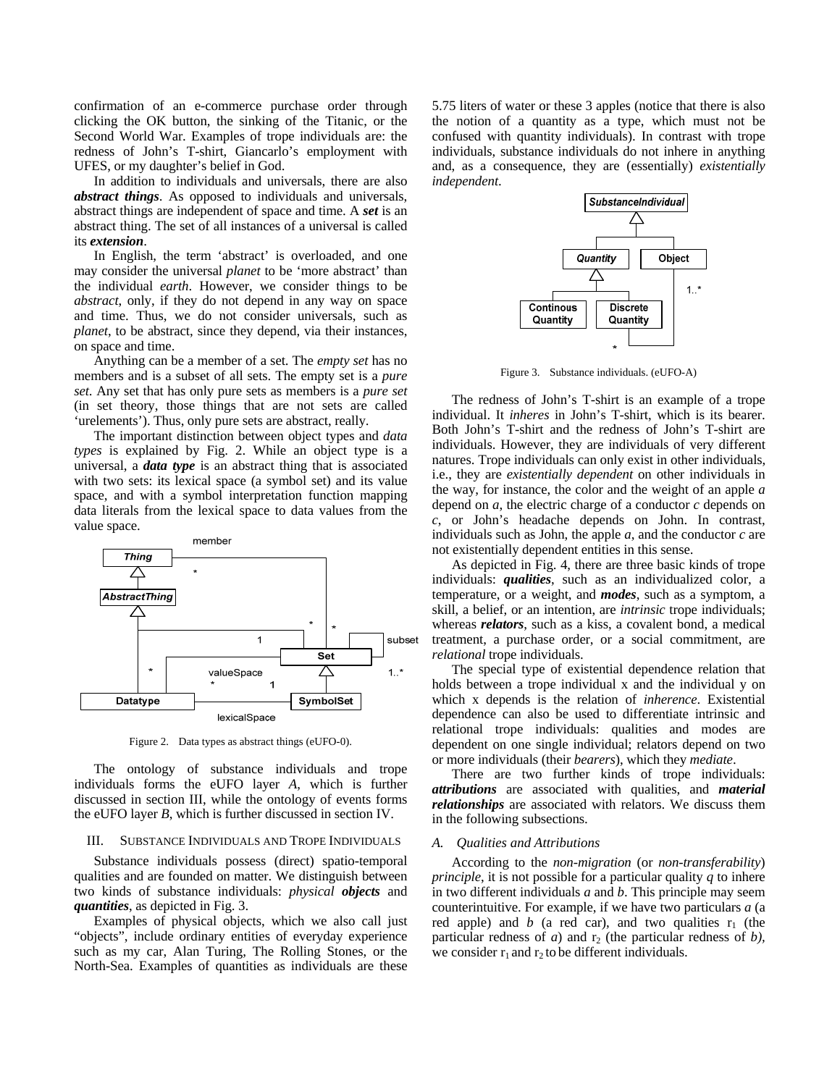confirmation of an e-commerce purchase order through clicking the OK button, the sinking of the Titanic, or the Second World War. Examples of trope individuals are: the redness of John's T-shirt, Giancarlo's employment with UFES, or my daughter's belief in God.

In addition to individuals and universals, there are also *abstract things*. As opposed to individuals and universals, abstract things are independent of space and time. A *set* is an abstract thing. The set of all instances of a universal is called its *extension*.

In English, the term 'abstract' is overloaded, and one may consider the universal *planet* to be 'more abstract' than the individual *earth*. However, we consider things to be *abstract*, only, if they do not depend in any way on space and time. Thus, we do not consider universals, such as *planet*, to be abstract, since they depend, via their instances, on space and time.

Anything can be a member of a set. The *empty set* has no members and is a subset of all sets. The empty set is a *pure set*. Any set that has only pure sets as members is a *pure set* (in set theory, those things that are not sets are called 'urelements'). Thus, only pure sets are abstract, really.

The important distinction between object types and *data types* is explained by Fig. 2. While an object type is a universal, a *data type* is an abstract thing that is associated with two sets: its lexical space (a symbol set) and its value space, and with a symbol interpretation function mapping data literals from the lexical space to data values from the value space.



Figure 2. Data types as abstract things (eUFO-0).

The ontology of substance individuals and trope individuals forms the eUFO layer *A*, which is further discussed in section III, while the ontology of events forms the eUFO layer *B*, which is further discussed in section IV.

#### III. SUBSTANCE INDIVIDUALS AND TROPE INDIVIDUALS

Substance individuals possess (direct) spatio-temporal qualities and are founded on matter. We distinguish between two kinds of substance individuals: *physical objects* and *quantities*, as depicted in Fig. 3.

Examples of physical objects, which we also call just "objects", include ordinary entities of everyday experience such as my car, Alan Turing, The Rolling Stones, or the North-Sea. Examples of quantities as individuals are these 5.75 liters of water or these 3 apples (notice that there is also the notion of a quantity as a type, which must not be confused with quantity individuals). In contrast with trope individuals, substance individuals do not inhere in anything and, as a consequence, they are (essentially) *existentially independent*.



Figure 3. Substance individuals. (eUFO-A)

The redness of John's T-shirt is an example of a trope individual. It *inheres* in John's T-shirt, which is its bearer. Both John's T-shirt and the redness of John's T-shirt are individuals. However, they are individuals of very different natures. Trope individuals can only exist in other individuals, i.e., they are *existentially dependent* on other individuals in the way, for instance, the color and the weight of an apple *a* depend on *a*, the electric charge of a conductor *c* depends on *c*, or John's headache depends on John. In contrast, individuals such as John, the apple *a*, and the conductor *c* are not existentially dependent entities in this sense.

As depicted in Fig. 4, there are three basic kinds of trope individuals: *qualities*, such as an individualized color, a temperature, or a weight, and *modes*, such as a symptom, a skill, a belief, or an intention, are *intrinsic* trope individuals; whereas *relators*, such as a kiss, a covalent bond, a medical treatment, a purchase order, or a social commitment, are *relational* trope individuals.

The special type of existential dependence relation that holds between a trope individual x and the individual y on which x depends is the relation of *inherence*. Existential dependence can also be used to differentiate intrinsic and relational trope individuals: qualities and modes are dependent on one single individual; relators depend on two or more individuals (their *bearers*), which they *mediate*.

There are two further kinds of trope individuals: *attributions* are associated with qualities, and *material relationships* are associated with relators. We discuss them in the following subsections.

#### *A. Qualities and Attributions*

According to the *non-migration* (or *non-transferability*) *principle*, it is not possible for a particular quality *q* to inhere in two different individuals *a* and *b*. This principle may seem counterintuitive. For example, if we have two particulars *a* (a red apple) and *b* (a red car), and two qualities  $r_1$  (the particular redness of *a*) and  $r<sub>2</sub>$  (the particular redness of *b*), we consider  $r_1$  and  $r_2$  to be different individuals.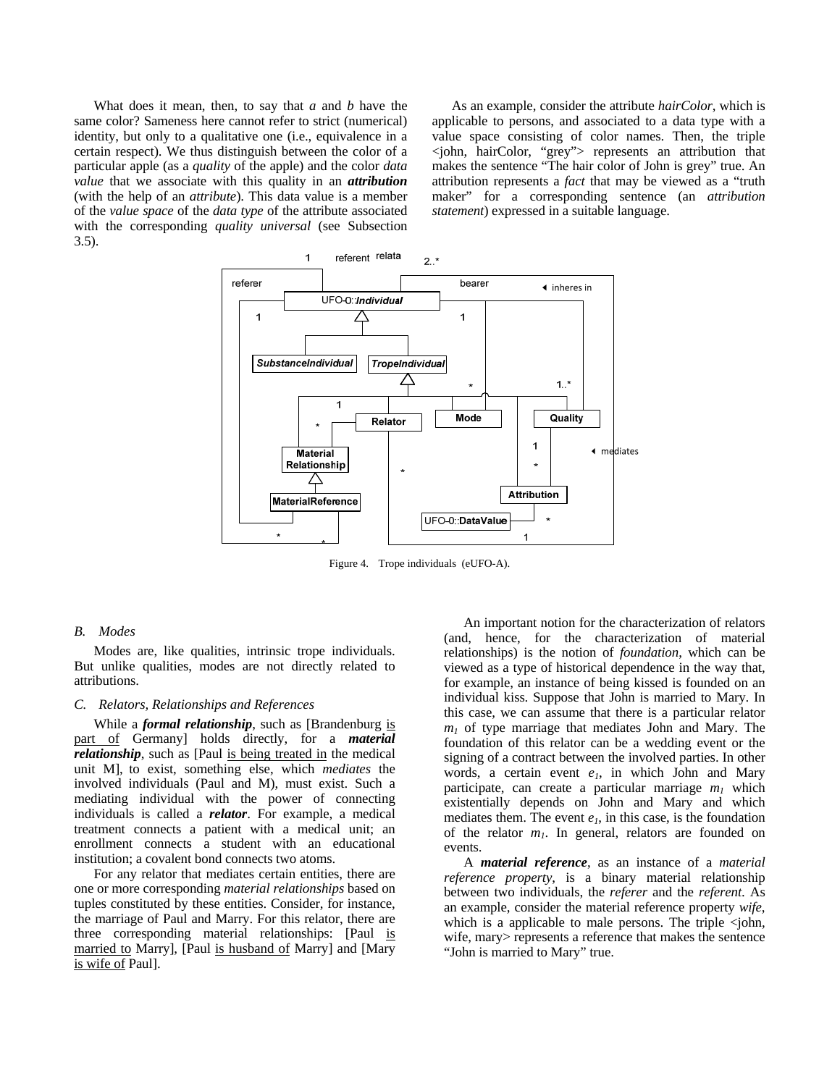What does it mean, then, to say that *a* and *b* have the same color? Sameness here cannot refer to strict (numerical) identity, but only to a qualitative one (i.e., equivalence in a certain respect). We thus distinguish between the color of a particular apple (as a *quality* of the apple) and the color *data value* that we associate with this quality in an *attribution* (with the help of an *attribute*). This data value is a member of the *value space* of the *data type* of the attribute associated with the corresponding *quality universal* (see Subsection 3.5).

As an example, consider the attribute *hairColor*, which is applicable to persons, and associated to a data type with a value space consisting of color names. Then, the triple <john, hairColor, "grey"> represents an attribution that makes the sentence "The hair color of John is grey" true. An attribution represents a *fact* that may be viewed as a "truth maker" for a corresponding sentence (an *attribution statement*) expressed in a suitable language.



Figure 4. Trope individuals (eUFO-A).

#### *B. Modes*

Modes are, like qualities, intrinsic trope individuals. But unlike qualities, modes are not directly related to attributions.

#### *C. Relators, Relationships and References*

While a *formal relationship*, such as [Brandenburg is part of Germany] holds directly, for a *material relationship*, such as [Paul is being treated in the medical unit M], to exist, something else, which *mediates* the involved individuals (Paul and M), must exist. Such a mediating individual with the power of connecting individuals is called a *relator*. For example, a medical treatment connects a patient with a medical unit; an enrollment connects a student with an educational institution; a covalent bond connects two atoms.

For any relator that mediates certain entities, there are one or more corresponding *material relationships* based on tuples constituted by these entities. Consider, for instance, the marriage of Paul and Marry. For this relator, there are three corresponding material relationships: [Paul is married to Marry], [Paul is husband of Marry] and [Mary is wife of Paul].

An important notion for the characterization of relators (and, hence, for the characterization of material relationships) is the notion of *foundation*, which can be viewed as a type of historical dependence in the way that, for example, an instance of being kissed is founded on an individual kiss. Suppose that John is married to Mary. In this case, we can assume that there is a particular relator  $m_l$  of type marriage that mediates John and Mary. The foundation of this relator can be a wedding event or the signing of a contract between the involved parties. In other words, a certain event  $e_1$ , in which John and Mary participate, can create a particular marriage  $m_1$  which existentially depends on John and Mary and which mediates them. The event  $e_1$ , in this case, is the foundation of the relator  $m_l$ . In general, relators are founded on events.

A *material reference*, as an instance of a *material reference property*, is a binary material relationship between two individuals, the *referer* and the *referent*. As an example, consider the material reference property *wife*, which is a applicable to male persons. The triple  $\le$ john, wife, mary represents a reference that makes the sentence "John is married to Mary" true.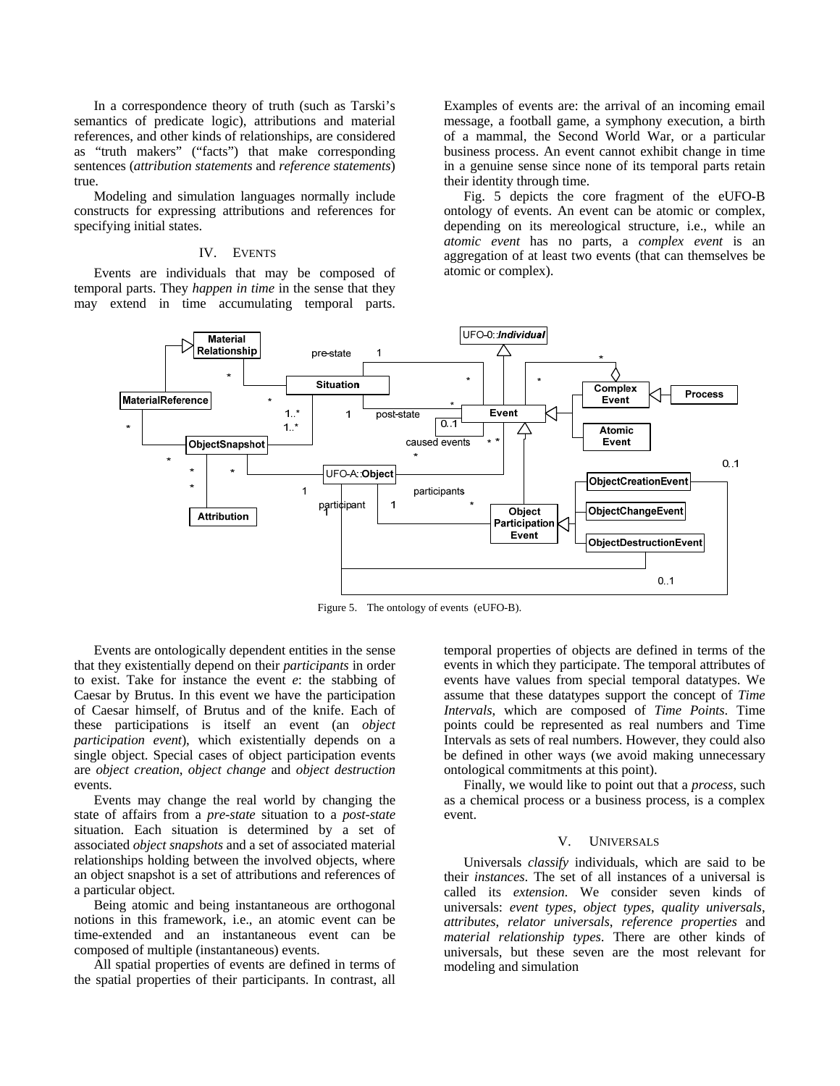In a correspondence theory of truth (such as Tarski's semantics of predicate logic), attributions and material references, and other kinds of relationships, are considered as "truth makers" ("facts") that make corresponding sentences (*attribution statements* and *reference statements*) true.

Modeling and simulation languages normally include constructs for expressing attributions and references for specifying initial states.

#### IV. EVENTS

Events are individuals that may be composed of temporal parts. They *happen in time* in the sense that they may extend in time accumulating temporal parts. Examples of events are: the arrival of an incoming email message, a football game, a symphony execution, a birth of a mammal, the Second World War, or a particular business process. An event cannot exhibit change in time in a genuine sense since none of its temporal parts retain their identity through time.

Fig. 5 depicts the core fragment of the eUFO-B ontology of events. An event can be atomic or complex, depending on its mereological structure, i.e., while an *atomic event* has no parts, a *complex event* is an aggregation of at least two events (that can themselves be atomic or complex).



Figure 5. The ontology of events (eUFO-B).

Events are ontologically dependent entities in the sense that they existentially depend on their *participants* in order to exist. Take for instance the event *e*: the stabbing of Caesar by Brutus. In this event we have the participation of Caesar himself, of Brutus and of the knife. Each of these participations is itself an event (an *object participation event*), which existentially depends on a single object. Special cases of object participation events are *object creation*, *object change* and *object destruction* events.

Events may change the real world by changing the state of affairs from a *pre-state* situation to a *post-state* situation. Each situation is determined by a set of associated *object snapshots* and a set of associated material relationships holding between the involved objects, where an object snapshot is a set of attributions and references of a particular object.

Being atomic and being instantaneous are orthogonal notions in this framework, i.e., an atomic event can be time-extended and an instantaneous event can be composed of multiple (instantaneous) events.

All spatial properties of events are defined in terms of the spatial properties of their participants. In contrast, all

tem poral properties of objects are defined in terms of the events in which they participate. The temporal attributes of events have values from special temporal datatypes. We assume that these datatypes support the concept of *Time Intervals*, which are composed of *Time Points*. Time points could be represented as real numbers and Time Intervals as sets of real numbers. However, they could also be defined in other ways (we avoid making unnecessary ontological commitments at this point).

as a chemical process or a business process, is a complex eve nt. Finally, we would like to point out that a *process*, such

#### V. UNIVERSALS

Universals *classify* individuals, which are said to be their *instances* . The set of all instances of a universal is cal led its *extension*. We consider seven kinds of universals: *event types*, *object types*, *quality universals*, *attributes*, *relator universals*, *reference properties* and *material relationship types*. There are other kinds of universals, but these seven are the most relevant for modeling and simulation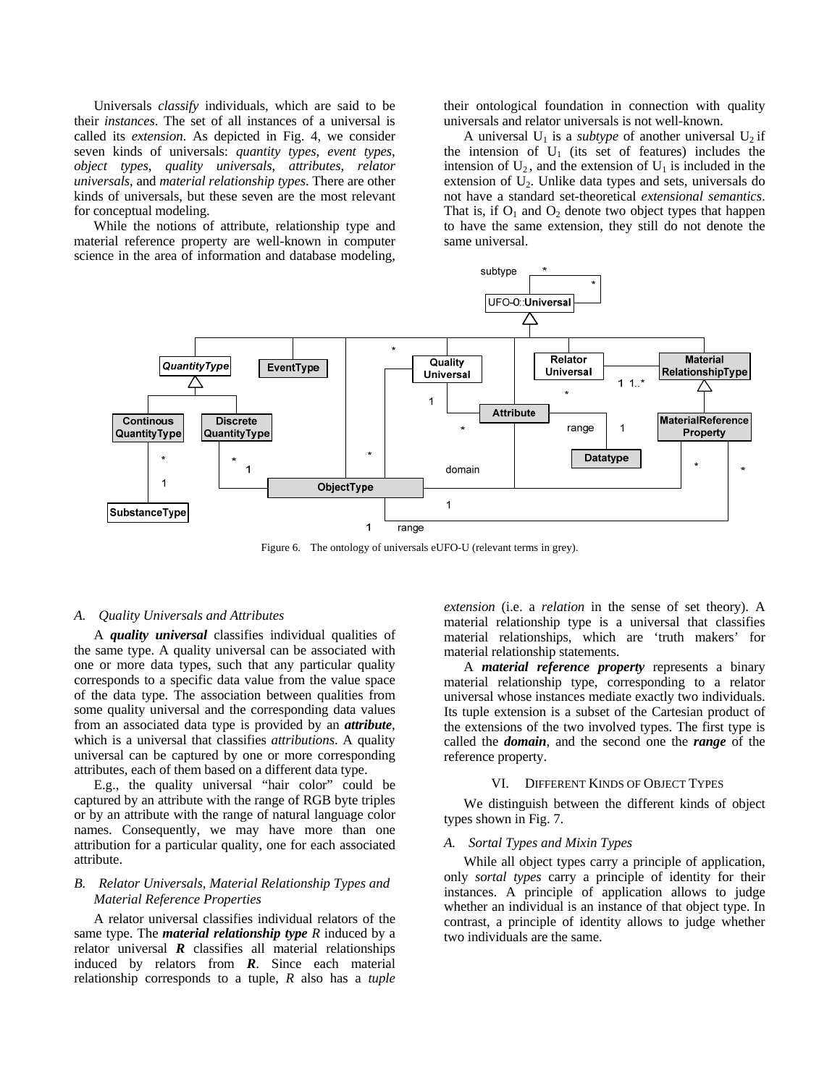Universals *classify* individuals, which are said to be their *instances*. The set of all instances of a universal is cal led its *extension*. As depicted in Fig. 4, we consider kinds of universals, but these seven are the most relevant seven kinds of universals: *quantity types*, *event types*, *object types*, *quality universals*, *attributes*, *relator universals*, and *material relationship types*. There are other for conceptual modeling.

material reference property are well-known in computer science in the area of information and database modeling, While the notions of attribute, relationship type and

their ontological foundation in connection with quality universals and relator universals is not well-known.

A universal  $U_1$  is a *subtype* of another universal  $U_2$  if the intension of  $U_1$  (its set of features) includes the intension of  $U_2$ , and the extension of  $U_1$  is included in the extension of  $U_2$ . Unlike data types and sets, universals do not have a standard set-theoretical *extensional semantics*. That is, if  $O_1$  and  $O_2$  denote two object types that happen to have the same extension, they still do not denote the same universal.



Figure 6. The ontology of universals eUFO-U (relevant terms in grey).

#### *A. Quality Universals and Attributes*

A *quality universal* classifies individual qualities of the same type. A quality universal can be associated with one or more data types, such that any particular quality corresponds to a specific data value from the value space of the data type. The association between qualities from some quality universal and the corresponding data values from an associated data type is provided by an *attribute*, which is a universal that classifies *attributions*. A quality universal can be captured by one or more corresponding attributes, each of them based on a different data type.

E.g., the quality universal "hair color" could be cap tured by an attribute with the range of RGB byte triples or by an attribute with the range of natural language color names. Consequently, we may have more than one attribution for a particular quality, one for each associated attribute.

## *r Universals, Material Relationship Types and B. Relato Material Reference Properties*

A relator universal classifies individual relators of the sam e type. The *material relationship type R* induced by a relator universal *R* classifies all material relationships induced by relators from *R*. Since each material relationship corresponds to a tuple, *R* also has a *tuple* 

*extension* (i.e. a *relation* in the sense of set theory). A material relationship type is a universal that classifies material relationships, which are 'truth makers' for material relationship statements.

material relationship type, corresponding to a relator uni versal whose instances mediate exactly two individuals. A *material reference property* represents a binary Its tuple extension is a subset of the Cartesian product of the extensions of the two involved types. The first type is called the *domain*, and the second one the *range* of the reference property.

## VI. DIFFERENT KINDS OF OBJECT TYPES

We distinguish between the different kinds of object types shown in Fig. 7.

#### *A. Sortal Types and Mixin Types*

While all object types carry a principle of application, only *sortal types* carry a principle of identity for their ins tances. A principle of application allows to judge whether an individual is an instance of that object type. In contrast, a principle of identity allows to judge whether two individuals are the same.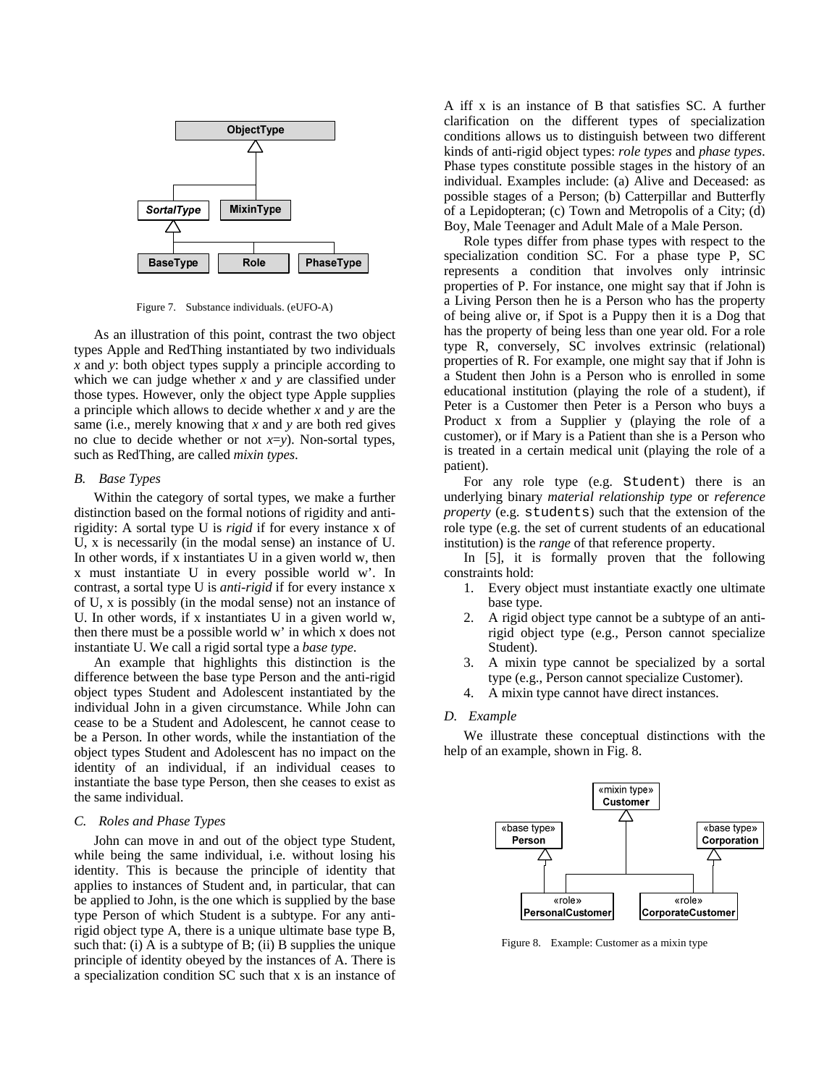

Figure 7. Substance individuals. (eUFO-A)

As an illustration of this point, contrast the two object types Apple and RedThing instantiated by two individuals *x* and *y*: both object types supply a principle according to which we can judge whether *x* and *y* are classified under those types. However, only the object type Apple supplies a principle which allows to decide whether *x* and *y* are the same (i.e., merely knowing that *x* and *y* are both red gives no clue to decide whether or not *x*=*y*). Non-sortal types, such as RedThing, are called *mixin types*.

#### *B. Base Types*

Within the category of sortal types, we make a further distinction based on the formal notions of rigidity and antirigidity: A sortal type U is *rigid* if for every instance x of U, x is necessarily (in the modal sense) an instance of U. In other words, if x instantiates U in a given world w, then x must instantiate U in every possible world w'. In contrast, a sortal type U is *anti-rigid* if for every instance x of U, x is possibly (in the modal sense) not an instance of U. In other words, if x instantiates U in a given world w, then there must be a possible world w' in which x does not instantiate U. We call a rigid sortal type a *base type*.

An example that highlights this distinction is the difference between the base type Person and the anti-rigid object types Student and Adolescent instantiated by the individual John in a given circumstance. While John can cease to be a Student and Adolescent, he cannot cease to be a Person. In other words, while the instantiation of the object types Student and Adolescent has no impact on the identity of an individual, if an individual ceases to instantiate the base type Person, then she ceases to exist as the same individual.

#### *C. Roles and Phase Types*

John can move in and out of the object type Student, while being the same individual, i.e. without losing his identity. This is because the principle of identity that applies to instances of Student and, in particular, that can be applied to John, is the one which is supplied by the base type Person of which Student is a subtype. For any antirigid object type A, there is a unique ultimate base type B, such that: (i) A is a subtype of B; (ii) B supplies the unique principle of identity obeyed by the instances of A. There is a specialization condition SC such that x is an instance of A iff x is an instance of B that satisfies SC. A further clarification on the different types of specialization conditions allows us to distinguish between two different kinds of anti-rigid object types: *role types* and *phase types*. Phase types constitute possible stages in the history of an individual. Examples include: (a) Alive and Deceased: as possible stages of a Person; (b) Catterpillar and Butterfly of a Lepidopteran; (c) Town and Metropolis of a City; (d) Boy, Male Teenager and Adult Male of a Male Person.

Role types differ from phase types with respect to the specialization condition SC. For a phase type P, SC represents a condition that involves only intrinsic properties of P. For instance, one might say that if John is a Living Person then he is a Person who has the property of being alive or, if Spot is a Puppy then it is a Dog that has the property of being less than one year old. For a role type R, conversely, SC involves extrinsic (relational) properties of R. For example, one might say that if John is a Student then John is a Person who is enrolled in some educational institution (playing the role of a student), if Peter is a Customer then Peter is a Person who buys a Product x from a Supplier y (playing the role of a customer), or if Mary is a Patient than she is a Person who is treated in a certain medical unit (playing the role of a patient).

For any role type (e.g. Student) there is an underlying binary *material relationship type* or *reference property* (e.g. students) such that the extension of the role type (e.g. the set of current students of an educational institution) is the *range* of that reference property.

In [5], it is formally proven that the following constraints hold:

- 1. Every object must instantiate exactly one ultimate base type.
- 2. A rigid object type cannot be a subtype of an antirigid object type (e.g., Person cannot specialize Student).
- 3. A mixin type cannot be specialized by a sortal type (e.g., Person cannot specialize Customer).
- 4. A mixin type cannot have direct instances.

#### *D. Example*

We illustrate these conceptual distinctions with the help of an example, shown in Fig. 8.



Figure 8. Example: Customer as a mixin type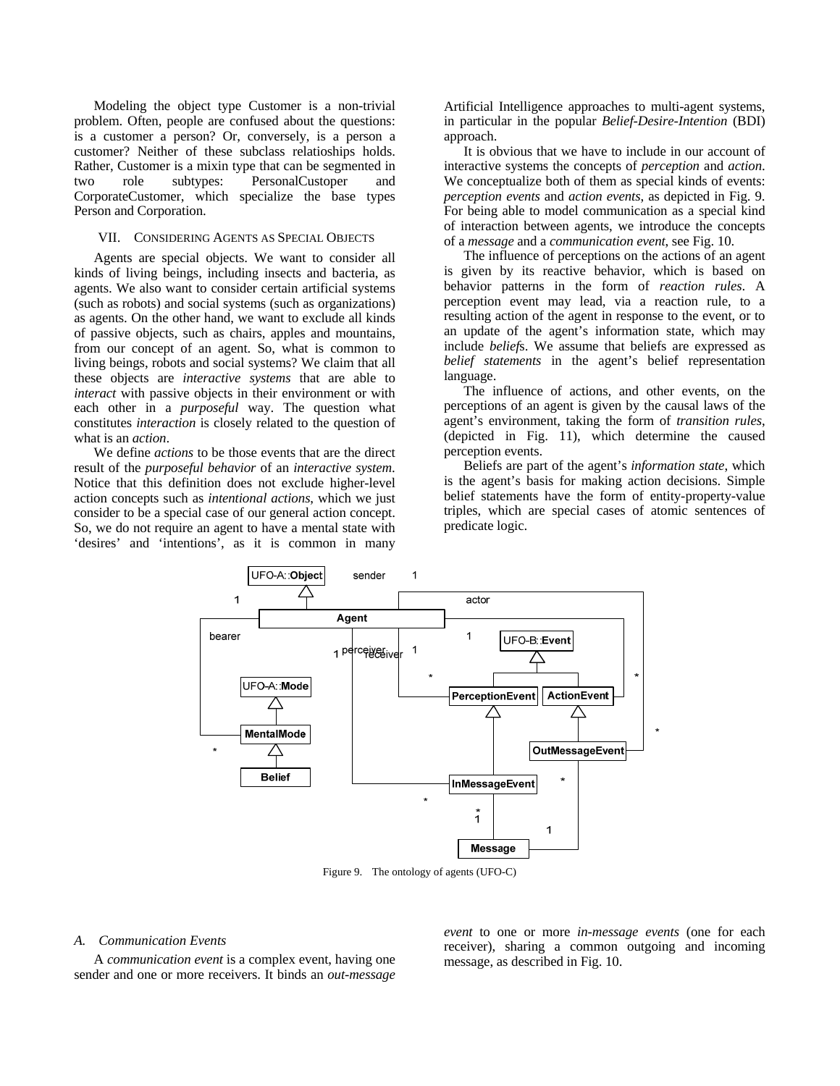Modeling the object type Customer is a non-trivial problem. Often, people are confused about the questions: is a customer a person? Or, conversely, is a person a customer? Neither of these subclass relatioships holds. Rather, Customer is a mixin type that can be segmented in two role subtypes: PersonalCustoper and CorporateCustomer, which specialize the base types Person and Corporation.

## VII. CONSIDERING AGENTS AS SPECIAL OBJECTS

Agents are special objects. We want to consider all kinds of living beings, including insects and bacteria, as agents. We also want to consider certain artificial systems (such as robots) and social systems (such as organizations) as agents. On the other hand, we want to exclude all kinds of passive objects, such as chairs, apples and mountains, from our concept of an agent. So, what is common to living beings, robots and social systems? We claim that all these objects are *interactive systems* that are able to *interact* with passive objects in their environment or with each other in a *purposeful* way. The question what constitutes *interaction* is closely related to the question of what is an *action*.

We define *actions* to be those events that are the direct result of the *purposeful behavior* of an *interactive system*. Notice that this definition does not exclude higher-level action concepts such as *intentional actions*, which we just consider to be a special case of our general action concept. So, we do not require an agent to have a mental state with 'desires' and 'intentions', as it is common in many

Artificial Intelligence approaches to multi-agent systems, in particular in the popular *Belief-Desire-Intention* (BDI) approach.

It is obvious that we have to include in our account of interactive systems the concepts of *perception* and *action*. We conceptualize both of them as special kinds of events: *perception events* and *action events*, as depicted in Fig. 9. For being able to model communication as a special kind of interaction between agents, we introduce the concepts of a *message* and a *communication event*, see Fig. 10.

The influence of perceptions on the actions of an agent is given by its reactive behavior, which is based on behavior patterns in the form of *reaction rules*. A perception event may lead, via a reaction rule, to a resulting action of the agent in response to the event, or to an update of the agent's information state, which may include *belief*s. We assume that beliefs are expressed as *belief statements* in the agent's belief representation language.

The influence of actions, and other events, on the perceptions of an agent is given by the causal laws of the agent's environment, taking the form of *transition rules*, (depicted in Fig. 11), which determine the caused perception events.

Beliefs are part of the agent's *information state*, which is the agent's basis for making action decisions. Simple belief statements have the form of entity-property-value triples, which are special cases of atomic sentences of predicate logic.



Figure 9. The ontology of agents (UFO-C)

#### *A. Communication Events*

A *communication event* is a complex event, having one sender and one or more receivers. It binds an *out-message*  *event* to one or more *in-message events* (one for each receiver), sharing a common outgoing and incoming message, as described in Fig. 10.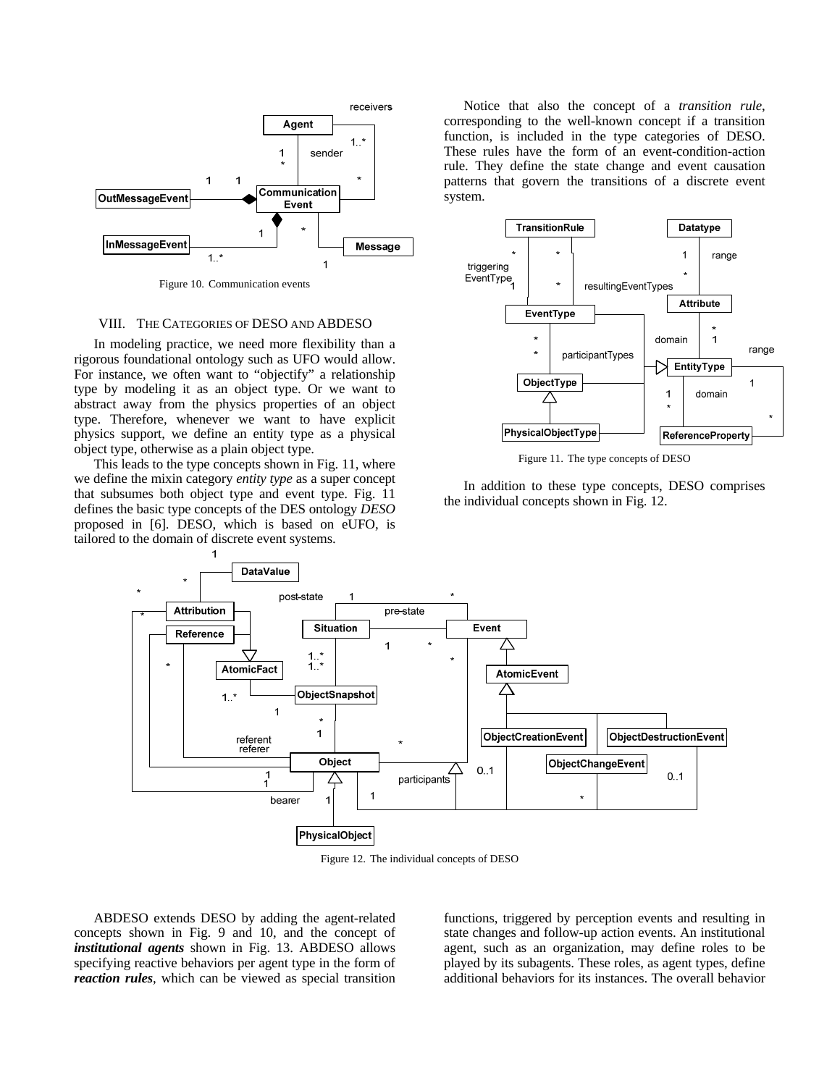

Figure 10. Communication events

### VIII. THE CATEGORIES OF DESO AND ABDESO

In modeling practice, we need more flexibility than a rigorous foundational ontology such as UFO would allow. For instance, we often want to "objectify" a relationship type by modeling it as an object type. Or we want to abstract away from the physics properties of an object type. Therefore, whenever we want to have explicit physics support, we define an entity type as a physical object type, otherwise as a plain object type.

This leads to the type concepts shown in Fig. 11, where we define the mixin category *entity type* as a super concept that subsumes both object type and event type. Fig. 11 defines the basic type concepts of the DES ontology *DESO* proposed in [6]. DESO, which is based on eUFO, is tailored to the domain of discrete event systems.

Notice that also the concept of a *transition rule*, corresponding to the well-known concept if a transition function, is included in the type categories of DESO. These rules have the form of an event-condition-action rule. They define the state change and event causation patterns that govern the transitions of a discrete event system.



Figure 11. The type concepts of DESO

In addition to these type concepts, DESO comprises the individual concepts shown in Fig. 12.



Figure 12. The individual concepts of DESO

ABDESO extends DESO by adding the agent-related concepts shown in Fig. 9 and 10, and the concept of *institutional agents* shown in Fig. 13. ABDESO allows specifying reactive behaviors per agent type in the form of *reaction rules*, which can be viewed as special transition

functions, triggered by perception events and resulting in state changes and follow-up action events. An institutional agent, such as an organization, may define roles to be played by its subagents. These roles, as agent types, define additional behaviors for its instances. The overall behavior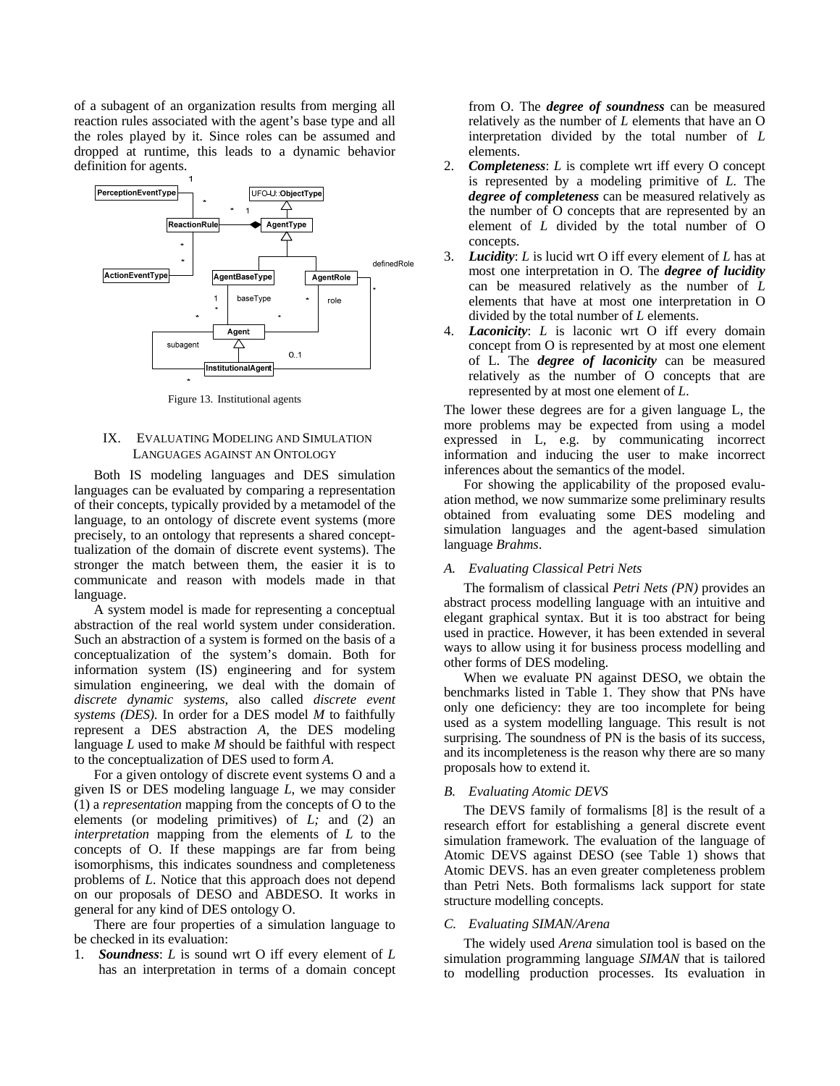of a subagent of an organization results from merging all reaction rules associated with the agent's base type and all the roles played by it. Since roles can be assumed and dropped at runtime, this leads to a dynamic behavior definition for agents.



Figure 13. Institutional agents

## IX. EVALUATING MODELING AND SIMULATION LANGUAGES AGAINST AN ONTOLOGY

Both IS modeling languages and DES simulation languages can be evaluated by comparing a representation of their concepts, typically provided by a metamodel of the language, to an ontology of discrete event systems (more precisely, to an ontology that represents a shared concepttualization of the domain of discrete event systems). The stronger the match between them, the easier it is to communicate and reason with models made in that language.

A system model is made for representing a conceptual abstraction of the real world system under consideration. Such an abstraction of a system is formed on the basis of a conceptualization of the system's domain. Both for information system (IS) engineering and for system simulation engineering, we deal with the domain of *discrete dynamic systems*, also called *discrete event systems (DES)*. In order for a DES model *M* to faithfully represent a DES abstraction *A*, the DES modeling language *L* used to make *M* should be faithful with respect to the conceptualization of DES used to form *A*.

For a given ontology of discrete event systems O and a given IS or DES modeling language *L*, we may consider (1) a *representation* mapping from the concepts of O to the elements (or modeling primitives) of *L;* and (2) an *interpretation* mapping from the elements of *L* to the concepts of O. If these mappings are far from being isomorphisms, this indicates soundness and completeness problems of *L*. Notice that this approach does not depend on our proposals of DESO and ABDESO. It works in general for any kind of DES ontology O.

There are four properties of a simulation language to be checked in its evaluation:

1. *Soundness*: *L* is sound wrt O iff every element of *L* has an interpretation in terms of a domain concept

from O. The *degree of soundness* can be measured relatively as the number of *L* elements that have an O interpretation divided by the total number of *L* elements.

- 2. *Completeness*: *L* is complete wrt iff every O concept is represented by a modeling primitive of *L*. The *degree of completeness* can be measured relatively as the number of O concepts that are represented by an element of *L* divided by the total number of O concepts.
- 3. *Lucidity*: *L* is lucid wrt O iff every element of *L* has at most one interpretation in O. The *degree of lucidity* can be measured relatively as the number of *L* elements that have at most one interpretation in O divided by the total number of *L* elements.
- 4. *Laconicity*: *L* is laconic wrt O iff every domain concept from O is represented by at most one element of L. The *degree of laconicity* can be measured relatively as the number of O concepts that are represented by at most one element of *L*.

The lower these degrees are for a given language L, the more problems may be expected from using a model expressed in L, e.g. by communicating incorrect information and inducing the user to make incorrect inferences about the semantics of the model.

For showing the applicability of the proposed evaluation method, we now summarize some preliminary results obtained from evaluating some DES modeling and simulation languages and the agent-based simulation language *Brahms*.

## *A. Evaluating Classical Petri Nets*

The formalism of classical *Petri Nets (PN)* provides an abstract process modelling language with an intuitive and elegant graphical syntax. But it is too abstract for being used in practice. However, it has been extended in several ways to allow using it for business process modelling and other forms of DES modeling.

When we evaluate PN against DESO, we obtain the benchmarks listed in Table 1. They show that PNs have only one deficiency: they are too incomplete for being used as a system modelling language. This result is not surprising. The soundness of PN is the basis of its success, and its incompleteness is the reason why there are so many proposals how to extend it.

## *B. Evaluating Atomic DEVS*

The DEVS family of formalisms [8] is the result of a research effort for establishing a general discrete event simulation framework. The evaluation of the language of Atomic DEVS against DESO (see Table 1) shows that Atomic DEVS. has an even greater completeness problem than Petri Nets. Both formalisms lack support for state structure modelling concepts.

## *C. Evaluating SIMAN/Arena*

The widely used *Arena* simulation tool is based on the simulation programming language *SIMAN* that is tailored to modelling production processes. Its evaluation in